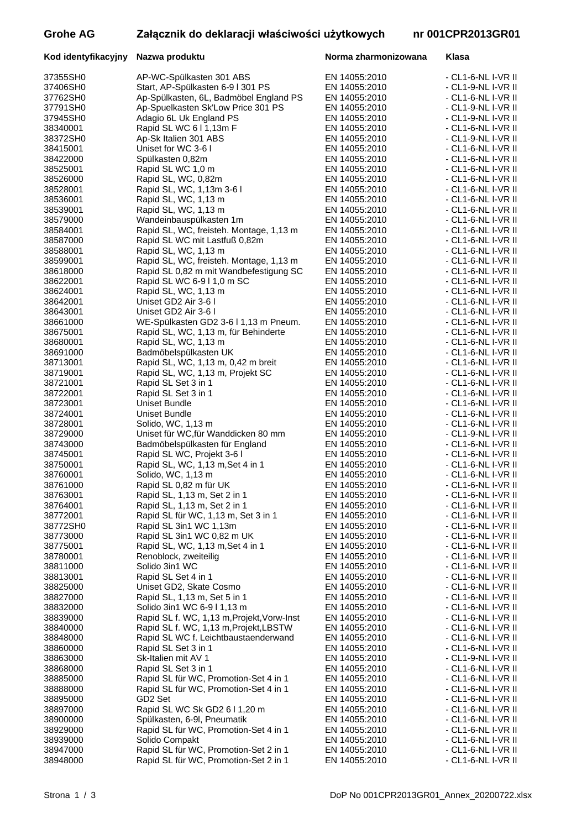# Grohe AG **Załącznik do deklaracji właściwości użytkowych nr 001**

37355SH0 AP-WC-Spülkasten 301 ABS EN 14055:2010 37406SH0 Start, AP-Spülkasten 6-9 l 301 PS EN 14055:2010<br>37762SH0 Ap-Spülkasten. 6L. Badmöbel England PS EN 14055:2010 37762SH0 Ap-Spülkasten, 6L, Badmöbel England PS EN 14055:2010<br>37791SH0 Ap-Spuelkasten Sk'Low Price 301 PS EN 14055:2010

## Kod identyfikacyjny Nazwa produktu **Norma zharmonizowana Norma zharmonizowana**

| zwa nroduktu |  |
|--------------|--|

|                               | <b>CPR2013GR01</b>                       |                |          |
|-------------------------------|------------------------------------------|----------------|----------|
| Klasa                         |                                          |                |          |
|                               |                                          |                |          |
|                               | - CL1-6-NL I-VR<br>- CL1-9-NL I-VR       |                | Ш<br>Ш   |
|                               | - CL1-6-NL I-VR                          |                | Ш        |
|                               | - CL1-9-NL I-VR                          |                | Ш        |
|                               | CL1-9-NL I-VR<br>- CL1-6-NL I-VR         |                | Ш<br>Ш   |
|                               | CL1-9-NL I-VR                            |                | Ш        |
|                               | CL1-6-NL I-VR                            |                | Ш        |
| L,<br>- CL1-6-NL              | CL1-6-NLI-VR                             | I-VR           | Ш<br>Ш   |
|                               | - CL1-6-NL I-VR                          |                | II       |
|                               | - CL1-6-NL I-VR                          |                | Ш        |
|                               | - CL1-6-NL I-VR<br>- CL1-6-NL I-VR       |                | II<br>וו |
| -                             | CL1-6-NLI-VR                             |                | Ш        |
|                               | - CL1-6-NL I-VR                          |                | Ш        |
|                               | - CL1-6-NL I-VR<br>- CL1-6-NL I-VR       |                | Ш<br>II  |
| $\overline{a}$                | CL1-6-NL I-VR                            |                | Ш        |
| $\overline{a}$                | CL1-6-NLI-VR                             |                | II       |
| ÷,                            | - CL1-6-NL I-VR<br>CL1-6-NLI-VR          |                | Ш<br>II  |
| $\overline{a}$                | CL1-6-NL I-VR                            |                | II       |
| L,                            | CL1-6-NLI-VR                             |                | Ш        |
| -                             | - CL1-6-NL I-VR<br><b>CL1-6-NL</b>       | $I-VR$         | Ш<br>Ш   |
| $\overline{a}$                | <b>CL1-6-NL</b>                          | I-VR           | II       |
| ÷                             | <b>CL1-6-NL</b>                          | I-VR           | Ш        |
|                               | <b>CL1-6-NL</b><br><b>CL1-6-NL</b>       | I-VR<br>I-VR   | II<br>Ш  |
| $\overline{a}$                | CL1-6-NLI-VR                             |                | Ш        |
|                               | - CL1-6-NL I-VR                          |                | Ш        |
|                               | - CL1-6-NL I-VR<br>- CL1-6-NL I-VR       |                | II<br>Ш  |
|                               | - CL1-6-NL I-VR                          |                | Ш        |
|                               | - CL1-9-NL I-VR                          |                | Ш        |
| r<br>$\overline{\phantom{a}}$ | L1-6-NL I-VR II<br>- CL1-6-NL I-VR       |                |          |
| $- CL1-6-NL$                  |                                          | I-VR           | II<br>II |
|                               | CL1-6-NL I-VR                            |                | II       |
| $\overline{a}$                | <b>CL1-6-NL</b>                          | I-VR<br>$I-VR$ | II       |
| -                             | <b>CL1-6-NL</b><br><b>CL1-6-NL</b>       | I-VR           | II<br>Ш  |
| $\overline{a}$                | <b>CL1-6-NL</b>                          | I-VR           | II       |
| $\overline{a}$                | <b>CL1-6-NL</b>                          | I-VR           | II       |
| ÷,<br>-                       | <b>CL1-6-NL</b><br>CL1-6-NLI-VR          | I-VR           | II<br>Ш  |
| -                             | CL1-6-NLI-VR                             |                | II       |
| $\overline{a}$                | CL1-6-NLI-VR                             |                | II       |
| -                             | CL1-6-NLI-VR                             |                | II       |
|                               | - CL1-6-NL I-VR II<br>- CL1-6-NL I-VR II |                |          |

| 37791SH0             | Ap-Spuelkasten Sk'Low Price 301 PS                 | EN 14055:2010                  | - CL1-9-NL I-VR II                       |
|----------------------|----------------------------------------------------|--------------------------------|------------------------------------------|
| 37945SH0             | Adagio 6L Uk England PS                            | EN 14055:2010                  | - CL1-9-NL I-VR II                       |
| 38340001             | Rapid SL WC 611,13m F                              | EN 14055:2010                  | - CL1-6-NL I-VR II                       |
| 38372SH0             | Ap-Sk Italien 301 ABS                              | EN 14055:2010                  | - CL1-9-NL I-VR II                       |
| 38415001             | Uniset for WC 3-6 I                                | EN 14055:2010                  | - CL1-6-NL I-VR II                       |
| 38422000             | Spülkasten 0,82m                                   | EN 14055:2010                  | - CL1-6-NL I-VR II                       |
| 38525001             | Rapid SL WC 1,0 m                                  | EN 14055:2010                  | - CL1-6-NL I-VR II                       |
| 38526000             | Rapid SL, WC, 0,82m                                | EN 14055:2010                  | - CL1-6-NL I-VR II                       |
| 38528001             | Rapid SL, WC, 1,13m 3-6 I                          | EN 14055:2010                  | - CL1-6-NL I-VR II                       |
| 38536001             | Rapid SL, WC, 1,13 m                               | EN 14055:2010                  | - CL1-6-NL I-VR II                       |
| 38539001             | Rapid SL, WC, 1,13 m                               | EN 14055:2010                  | - CL1-6-NL I-VR II                       |
| 38579000             | Wandeinbauspülkasten 1m                            | EN 14055:2010                  | - CL1-6-NL I-VR II                       |
| 38584001             | Rapid SL, WC, freisteh. Montage, 1,13 m            | EN 14055:2010                  | - CL1-6-NL I-VR II                       |
| 38587000             | Rapid SL WC mit Lastfuß 0,82m                      | EN 14055:2010                  | - CL1-6-NL I-VR II                       |
| 38588001             | Rapid SL, WC, 1,13 m                               | EN 14055:2010                  | - CL1-6-NL I-VR II                       |
| 38599001             | Rapid SL, WC, freisteh. Montage, 1,13 m            | EN 14055:2010                  | - CL1-6-NL I-VR II                       |
| 38618000<br>38622001 | Rapid SL 0,82 m mit Wandbefestigung SC             | EN 14055:2010<br>EN 14055:2010 | - CL1-6-NL I-VR II<br>- CL1-6-NL I-VR II |
| 38624001             | Rapid SL WC 6-9   1,0 m SC<br>Rapid SL, WC, 1,13 m | EN 14055:2010                  | - CL1-6-NL I-VR II                       |
| 38642001             | Uniset GD2 Air 3-6 I                               | EN 14055:2010                  | - CL1-6-NL I-VR II                       |
| 38643001             | Uniset GD2 Air 3-6 I                               | EN 14055:2010                  | - CL1-6-NL I-VR II                       |
| 38661000             | WE-Spülkasten GD2 3-6 I 1,13 m Pneum.              | EN 14055:2010                  | - CL1-6-NL I-VR II                       |
| 38675001             | Rapid SL, WC, 1,13 m, für Behinderte               | EN 14055:2010                  | - CL1-6-NL I-VR II                       |
| 38680001             | Rapid SL, WC, 1,13 m                               | EN 14055:2010                  | - CL1-6-NL I-VR II                       |
| 38691000             | Badmöbelspülkasten UK                              | EN 14055:2010                  | - CL1-6-NL I-VR II                       |
| 38713001             | Rapid SL, WC, 1,13 m, 0,42 m breit                 | EN 14055:2010                  | - CL1-6-NL I-VR II                       |
| 38719001             | Rapid SL, WC, 1,13 m, Projekt SC                   | EN 14055:2010                  | - CL1-6-NL I-VR II                       |
| 38721001             | Rapid SL Set 3 in 1                                | EN 14055:2010                  | - CL1-6-NL I-VR II                       |
| 38722001             | Rapid SL Set 3 in 1                                | EN 14055:2010                  | - CL1-6-NL I-VR II                       |
| 38723001             | Uniset Bundle                                      | EN 14055:2010                  | - CL1-6-NL I-VR II                       |
| 38724001             | Uniset Bundle                                      | EN 14055:2010                  | - CL1-6-NL I-VR II                       |
| 38728001             | Solido, WC, 1,13 m                                 | EN 14055:2010                  | - CL1-6-NL I-VR II                       |
| 38729000             | Uniset für WC, für Wanddicken 80 mm                | EN 14055:2010                  | - CL1-9-NL I-VR II                       |
| 38743000             | Badmöbelspülkasten für England                     | EN 14055:2010                  | - CL1-6-NL I-VR II                       |
| 38745001             | Rapid SL WC, Projekt 3-6 I                         | EN 14055:2010                  | - CL1-6-NL I-VR II                       |
| 38750001             | Rapid SL, WC, 1,13 m, Set 4 in 1                   | EN 14055:2010                  | - CL1-6-NL I-VR II                       |
| 38760001             | Solido, WC, 1,13 m                                 | EN 14055:2010                  | - CL1-6-NL I-VR II                       |
| 38761000             | Rapid SL 0,82 m für UK                             | EN 14055:2010                  | - CL1-6-NL I-VR II                       |
| 38763001             | Rapid SL, 1,13 m, Set 2 in 1                       | EN 14055:2010                  | - CL1-6-NL I-VR II                       |
| 38764001             | Rapid SL, 1,13 m, Set 2 in 1                       | EN 14055:2010                  | - CL1-6-NL I-VR II                       |
| 38772001             | Rapid SL für WC, 1,13 m, Set 3 in 1                | EN 14055:2010                  | - CL1-6-NL I-VR II                       |
| 38772SH0             | Rapid SL 3in1 WC 1,13m                             | EN 14055:2010                  | - CL1-6-NL I-VR II                       |
| 38773000             | Rapid SL 3in1 WC 0,82 m UK                         | EN 14055:2010                  | - CL1-6-NL I-VR II                       |
| 38775001             | Rapid SL, WC, 1,13 m, Set 4 in 1                   | EN 14055:2010                  | - CL1-6-NL I-VR II                       |
| 38780001             | Renoblock, zweiteilig                              | EN 14055:2010<br>EN 14055:2010 | - CL1-6-NL I-VR II                       |
| 38811000<br>38813001 | Solido 3in1 WC<br>Rapid SL Set 4 in 1              |                                | - CL1-6-NL I-VR II                       |
| 38825000             | Uniset GD2, Skate Cosmo                            | EN 14055:2010<br>EN 14055:2010 | - CL1-6-NL I-VR II<br>- CL1-6-NL I-VR II |
| 38827000             | Rapid SL, 1,13 m, Set 5 in 1                       | EN 14055:2010                  | - CL1-6-NL I-VR II                       |
| 38832000             | Solido 3in1 WC 6-9   1,13 m                        | EN 14055:2010                  | - CL1-6-NL I-VR II                       |
| 38839000             | Rapid SL f. WC, 1,13 m, Projekt, Vorw-Inst         | EN 14055:2010                  | - CL1-6-NL I-VR II                       |
| 38840000             | Rapid SL f. WC, 1,13 m, Projekt, LBSTW             | EN 14055:2010                  | - CL1-6-NL I-VR II                       |
| 38848000             | Rapid SL WC f. Leichtbaustaenderwand               | EN 14055:2010                  | - CL1-6-NL I-VR II                       |
| 38860000             | Rapid SL Set 3 in 1                                | EN 14055:2010                  | - CL1-6-NL I-VR II                       |
| 38863000             | Sk-Italien mit AV 1                                | EN 14055:2010                  | - CL1-9-NL I-VR II                       |
| 38868000             | Rapid SL Set 3 in 1                                | EN 14055:2010                  | - CL1-6-NL I-VR II                       |
| 38885000             | Rapid SL für WC, Promotion-Set 4 in 1              | EN 14055:2010                  | - CL1-6-NL I-VR II                       |
| 38888000             | Rapid SL für WC, Promotion-Set 4 in 1              | EN 14055:2010                  | - CL1-6-NL I-VR II                       |
| 38895000             | GD <sub>2</sub> Set                                | EN 14055:2010                  | - CL1-6-NL I-VR II                       |
| 38897000             | Rapid SL WC Sk GD2 6 I 1,20 m                      | EN 14055:2010                  | - CL1-6-NL I-VR II                       |
| 38900000             | Spülkasten, 6-9I, Pneumatik                        | EN 14055:2010                  | - CL1-6-NL I-VR II                       |
| 38929000             | Rapid SL für WC, Promotion-Set 4 in 1              | EN 14055:2010                  | - CL1-6-NL I-VR II                       |
| 38939000             | Solido Compakt                                     | EN 14055:2010                  | - CL1-6-NL I-VR II                       |
| 38947000             | Rapid SL für WC, Promotion-Set 2 in 1              | EN 14055:2010                  | - CL1-6-NL I-VR II                       |
| 38948000             | Rapid SL für WC, Promotion-Set 2 in 1              | EN 14055:2010                  | - CL1-6-NL I-VR II                       |
|                      |                                                    |                                |                                          |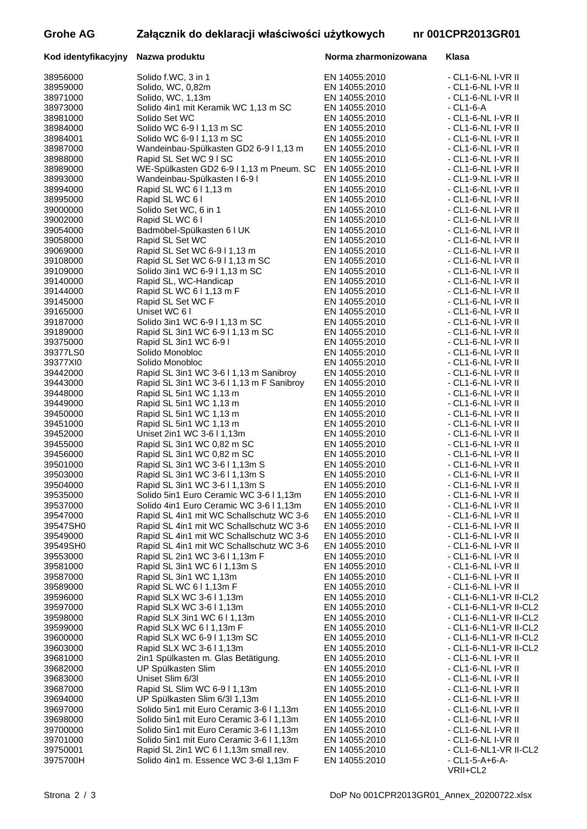# **Grohe AG Załącznik do deklaracji właściwości użytkowych nr 001CPR2013GR01**

| Kod identyfikacyjny  | Nazwa produktu                                                     | Norma zharmonizowana           | Klasa                                    |
|----------------------|--------------------------------------------------------------------|--------------------------------|------------------------------------------|
| 38956000             | Solido f.WC, 3 in 1                                                | EN 14055:2010                  | - CL1-6-NL I-VR II                       |
| 38959000             | Solido, WC, 0,82m                                                  | EN 14055:2010                  | - CL1-6-NL I-VR II                       |
| 38971000             | Solido, WC, 1,13m                                                  | EN 14055:2010                  | - CL1-6-NL I-VR II                       |
| 38973000             | Solido 4in1 mit Keramik WC 1,13 m SC                               | EN 14055:2010                  | $- CL1-6- A$                             |
| 38981000             | Solido Set WC                                                      | EN 14055:2010                  | - CL1-6-NL I-VR II                       |
| 38984000             | Solido WC 6-911,13 m SC                                            | EN 14055:2010                  | - CL1-6-NL I-VR II                       |
| 38984001             | Solido WC 6-9   1,13 m SC                                          | EN 14055:2010                  | - CL1-6-NL I-VR II                       |
| 38987000<br>38988000 | Wandeinbau-Spülkasten GD2 6-9 I 1,13 m                             | EN 14055:2010<br>EN 14055:2010 | - CL1-6-NL I-VR II                       |
| 38989000             | Rapid SL Set WC 9 I SC<br>WE-Spülkasten GD2 6-9 I 1,13 m Pneum. SC | EN 14055:2010                  | - CL1-6-NL I-VR II<br>- CL1-6-NL I-VR II |
| 38993000             | Wandeinbau-Spülkasten I 6-9 l                                      | EN 14055:2010                  | - CL1-9-NL I-VR II                       |
| 38994000             | Rapid SL WC 611,13 m                                               | EN 14055:2010                  | - CL1-6-NL I-VR II                       |
| 38995000             | Rapid SL WC 6 I                                                    | EN 14055:2010                  | - CL1-6-NL I-VR II                       |
| 39000000             | Solido Set WC, 6 in 1                                              | EN 14055:2010                  | - CL1-6-NL I-VR II                       |
| 39002000             | Rapid SL WC 61                                                     | EN 14055:2010                  | - CL1-6-NL I-VR II                       |
| 39054000             | Badmöbel-Spülkasten 6 I UK                                         | EN 14055:2010                  | - CL1-6-NL I-VR II                       |
| 39058000             | Rapid SL Set WC                                                    | EN 14055:2010                  | - CL1-6-NL I-VR II                       |
| 39069000             | Rapid SL Set WC 6-911,13 m                                         | EN 14055:2010                  | - CL1-6-NL I-VR II                       |
| 39108000             | Rapid SL Set WC 6-9 I 1,13 m SC                                    | EN 14055:2010                  | - CL1-6-NL I-VR II                       |
| 39109000             | Solido 3in1 WC 6-9 I 1,13 m SC                                     | EN 14055:2010                  | - CL1-6-NL I-VR II                       |
| 39140000             | Rapid SL, WC-Handicap                                              | EN 14055:2010                  | - CL1-6-NL I-VR II                       |
| 39144000             | Rapid SL WC 611,13 m F                                             | EN 14055:2010                  | - CL1-6-NL I-VR II                       |
| 39145000<br>39165000 | Rapid SL Set WC F<br>Uniset WC 61                                  | EN 14055:2010<br>EN 14055:2010 | - CL1-6-NL I-VR II<br>- CL1-6-NL I-VR II |
| 39187000             | Solido 3in1 WC 6-9   1,13 m SC                                     | EN 14055:2010                  | - CL1-6-NL I-VR II                       |
| 39189000             | Rapid SL 3in1 WC 6-9   1,13 m SC                                   | EN 14055:2010                  | - CL1-6-NL I-VR II                       |
| 39375000             | Rapid SL 3in1 WC 6-9 I                                             | EN 14055:2010                  | - CL1-6-NL I-VR II                       |
| 39377LS0             | Solido Monobloc                                                    | EN 14055:2010                  | - CL1-6-NL I-VR II                       |
| 39377XI0             | Solido Monobloc                                                    | EN 14055:2010                  | - CL1-6-NL I-VR II                       |
| 39442000             | Rapid SL 3in1 WC 3-6 I 1,13 m Sanibroy                             | EN 14055:2010                  | - CL1-6-NL I-VR II                       |
| 39443000             | Rapid SL 3in1 WC 3-6 I 1,13 m F Sanibroy                           | EN 14055:2010                  | - CL1-6-NL I-VR II                       |
| 39448000             | Rapid SL 5in1 WC 1,13 m                                            | EN 14055:2010                  | - CL1-6-NL I-VR II                       |
| 39449000             | Rapid SL 5in1 WC 1,13 m                                            | EN 14055:2010                  | - CL1-6-NL I-VR II                       |
| 39450000             | Rapid SL 5in1 WC 1,13 m                                            | EN 14055:2010                  | - CL1-6-NL I-VR II                       |
| 39451000             | Rapid SL 5in1 WC 1,13 m                                            | EN 14055:2010                  | - CL1-6-NL I-VR II                       |
| 39452000<br>39455000 | Uniset 2in1 WC 3-6   1,13m<br>Rapid SL 3in1 WC 0,82 m SC           | EN 14055:2010<br>EN 14055:2010 | - CL1-6-NL I-VR II<br>- CL1-6-NL I-VR II |
| 39456000             | Rapid SL 3in1 WC 0,82 m SC                                         | EN 14055:2010                  | - CL1-6-NL I-VR II                       |
| 39501000             | Rapid SL 3in1 WC 3-6 I 1,13m S                                     | EN 14055:2010                  | - CL1-6-NL I-VR II                       |
| 39503000             | Rapid SL 3in1 WC 3-6 I 1,13m S                                     | EN 14055:2010                  | - CL1-6-NL I-VR II                       |
| 39504000             | Rapid SL 3in1 WC 3-6   1,13m S                                     | EN 14055:2010                  | - CL1-6-NL I-VR II                       |
| 39535000             | Solido 5in1 Euro Ceramic WC 3-6 I 1,13m                            | EN 14055:2010                  | - CL1-6-NL I-VR II                       |
| 39537000             | Solido 4in1 Euro Ceramic WC 3-6 I 1,13m                            | EN 14055:2010                  | - CL1-6-NL I-VR II                       |
| 39547000             | Rapid SL 4in1 mit WC Schallschutz WC 3-6                           | EN 14055:2010                  | - CL1-6-NL I-VR II                       |
| 39547SH0             | Rapid SL 4in1 mit WC Schallschutz WC 3-6                           | EN 14055:2010                  | - CL1-6-NL I-VR II                       |
| 39549000             | Rapid SL 4in1 mit WC Schallschutz WC 3-6                           | EN 14055:2010                  | - CL1-6-NL I-VR II                       |
| 39549SH0<br>39553000 | Rapid SL 4in1 mit WC Schallschutz WC 3-6                           | EN 14055:2010                  | - CL1-6-NL I-VR II                       |
| 39581000             | Rapid SL 2in1 WC 3-6 I 1,13m F<br>Rapid SL 3in1 WC 611,13m S       | EN 14055:2010<br>EN 14055:2010 | - CL1-6-NL I-VR II<br>- CL1-6-NL I-VR II |
| 39587000             | Rapid SL 3in1 WC 1,13m                                             | EN 14055:2010                  | - CL1-6-NL I-VR II                       |
| 39589000             | Rapid SL WC 611,13m F                                              | EN 14055:2010                  | - CL1-6-NL I-VR II                       |
| 39596000             | Rapid SLX WC 3-6   1,13m                                           | EN 14055:2010                  | - CL1-6-NL1-VR II-CL2                    |
| 39597000             | Rapid SLX WC 3-6   1,13m                                           | EN 14055:2010                  | - CL1-6-NL1-VR II-CL2                    |
| 39598000             | Rapid SLX 3in1 WC 611,13m                                          | EN 14055:2010                  | - CL1-6-NL1-VR II-CL2                    |
| 39599000             | Rapid SLX WC 611,13m F                                             | EN 14055:2010                  | - CL1-6-NL1-VR II-CL2                    |
| 39600000             | Rapid SLX WC 6-9 I 1,13m SC                                        | EN 14055:2010                  | - CL1-6-NL1-VR II-CL2                    |
| 39603000             | Rapid SLX WC 3-6   1,13m                                           | EN 14055:2010                  | - CL1-6-NL1-VR II-CL2                    |
| 39681000             | 2in1 Spülkasten m. Glas Betätigung.                                | EN 14055:2010                  | - CL1-6-NL I-VR II                       |
| 39682000             | UP Spülkasten Slim                                                 | EN 14055:2010                  | - CL1-6-NL I-VR II                       |
| 39683000<br>39687000 | Uniset Slim 6/3I<br>Rapid SL Slim WC 6-9 I 1,13m                   | EN 14055:2010<br>EN 14055:2010 | - CL1-6-NL I-VR II<br>- CL1-6-NL I-VR II |
| 39694000             | UP Spülkasten Slim 6/3l 1,13m                                      | EN 14055:2010                  | - CL1-6-NL I-VR II                       |
| 39697000             | Solido 5in1 mit Euro Ceramic 3-6 I 1,13m                           | EN 14055:2010                  | - CL1-6-NL I-VR II                       |
| 39698000             | Solido 5in1 mit Euro Ceramic 3-6 I 1,13m                           | EN 14055:2010                  | - CL1-6-NL I-VR II                       |
| 39700000             | Solido 5in1 mit Euro Ceramic 3-6 I 1,13m                           | EN 14055:2010                  | - CL1-6-NL I-VR II                       |
| 39701000             | Solido 5in1 mit Euro Ceramic 3-6 I 1,13m                           | EN 14055:2010                  | - CL1-6-NL I-VR II                       |
| 39750001             | Rapid SL 2in1 WC 611,13m small rev.                                | EN 14055:2010                  | - CL1-6-NL1-VR II-CL2                    |
| 3975700H             | Solido 4in1 m. Essence WC 3-6l 1,13m F                             | EN 14055:2010                  | - CL1-5-A+6-A-                           |

VRII+CL2